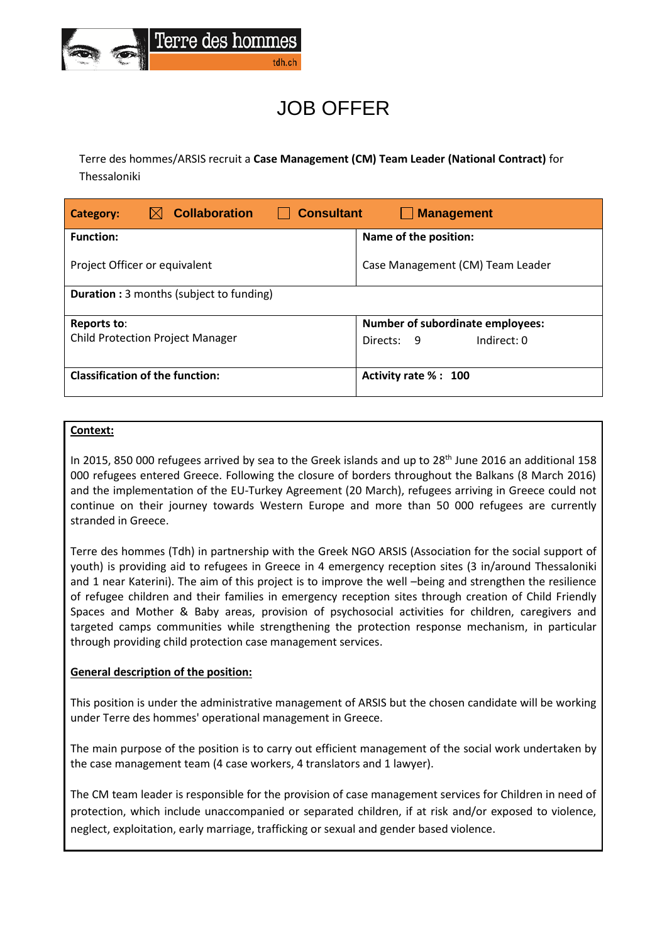

# JOB OFFER

Terre des hommes/ARSIS recruit a **Case Management (CM) Team Leader (National Contract)** for Thessaloniki

| <b>Collaboration</b><br><b>Consultant</b><br><b>Management</b><br>Category: |                                  |
|-----------------------------------------------------------------------------|----------------------------------|
| <b>Function:</b>                                                            | Name of the position:            |
| Project Officer or equivalent                                               | Case Management (CM) Team Leader |
| <b>Duration:</b> 3 months (subject to funding)                              |                                  |
| Reports to:                                                                 | Number of subordinate employees: |
| <b>Child Protection Project Manager</b>                                     | Indirect: 0<br>Directs:<br>- 9   |
| <b>Classification of the function:</b>                                      | Activity rate % : 100            |

# **Context:**

In 2015, 850 000 refugees arrived by sea to the Greek islands and up to 28<sup>th</sup> June 2016 an additional 158 000 refugees entered Greece. Following the closure of borders throughout the Balkans (8 March 2016) and the implementation of the EU-Turkey Agreement (20 March), refugees arriving in Greece could not continue on their journey towards Western Europe and more than 50 000 refugees are currently stranded in Greece.

Terre des hommes (Tdh) in partnership with the Greek NGO ARSIS (Association for the social support of youth) is providing aid to refugees in Greece in 4 emergency reception sites (3 in/around Thessaloniki and 1 near Katerini). The aim of this project is to improve the well –being and strengthen the resilience of refugee children and their families in emergency reception sites through creation of Child Friendly Spaces and Mother & Baby areas, provision of psychosocial activities for children, caregivers and targeted camps communities while strengthening the protection response mechanism, in particular through providing child protection case management services.

## **General description of the position:**

This position is under the administrative management of ARSIS but the chosen candidate will be working under Terre des hommes' operational management in Greece.

The main purpose of the position is to carry out efficient management of the social work undertaken by the case management team (4 case workers, 4 translators and 1 lawyer).

The CM team leader is responsible for the provision of case management services for Children in need of protection, which include unaccompanied or separated children, if at risk and/or exposed to violence, neglect, exploitation, early marriage, trafficking or sexual and gender based violence.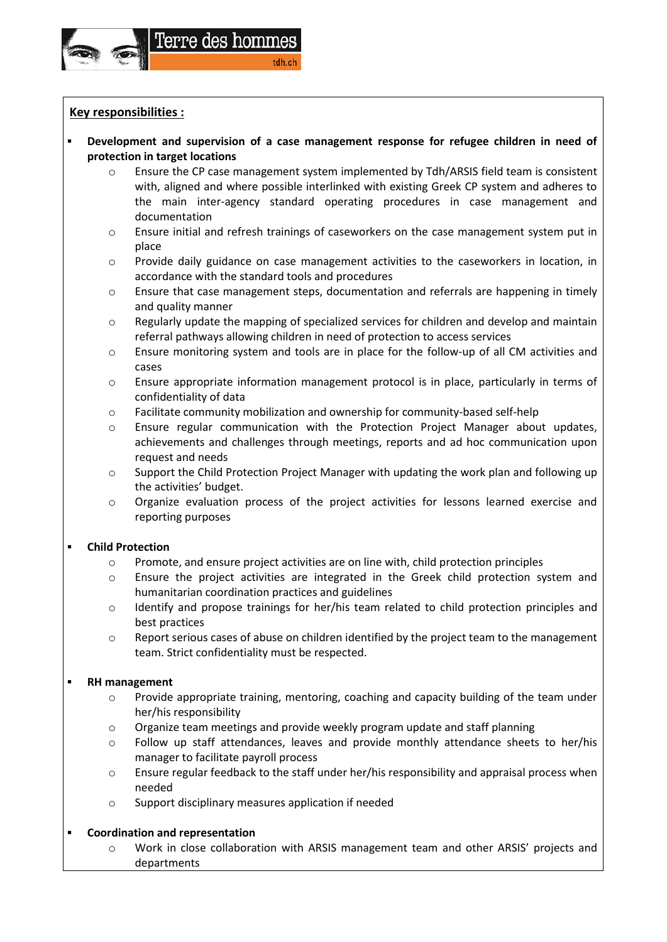

# **Key responsibilities :**

- **Development and supervision of a case management response for refugee children in need of protection in target locations**
	- $\circ$  Ensure the CP case management system implemented by Tdh/ARSIS field team is consistent with, aligned and where possible interlinked with existing Greek CP system and adheres to the main inter-agency standard operating procedures in case management and documentation
	- o Ensure initial and refresh trainings of caseworkers on the case management system put in place
	- o Provide daily guidance on case management activities to the caseworkers in location, in accordance with the standard tools and procedures
	- o Ensure that case management steps, documentation and referrals are happening in timely and quality manner
	- o Regularly update the mapping of specialized services for children and develop and maintain referral pathways allowing children in need of protection to access services
	- $\circ$  Ensure monitoring system and tools are in place for the follow-up of all CM activities and cases
	- o Ensure appropriate information management protocol is in place, particularly in terms of confidentiality of data
	- o Facilitate community mobilization and ownership for community-based self-help
	- o Ensure regular communication with the Protection Project Manager about updates, achievements and challenges through meetings, reports and ad hoc communication upon request and needs
	- o Support the Child Protection Project Manager with updating the work plan and following up the activities' budget.
	- o Organize evaluation process of the project activities for lessons learned exercise and reporting purposes

# **Child Protection**

- o Promote, and ensure project activities are on line with, child protection principles
- o Ensure the project activities are integrated in the Greek child protection system and humanitarian coordination practices and guidelines
- o Identify and propose trainings for her/his team related to child protection principles and best practices
- o Report serious cases of abuse on children identified by the project team to the management team. Strict confidentiality must be respected.

# **RH management**

- o Provide appropriate training, mentoring, coaching and capacity building of the team under her/his responsibility
- $\circ$  Organize team meetings and provide weekly program update and staff planning
- o Follow up staff attendances, leaves and provide monthly attendance sheets to her/his manager to facilitate payroll process
- $\circ$  Ensure regular feedback to the staff under her/his responsibility and appraisal process when needed
- o Support disciplinary measures application if needed

# **Coordination and representation**

o Work in close collaboration with ARSIS management team and other ARSIS' projects and departments